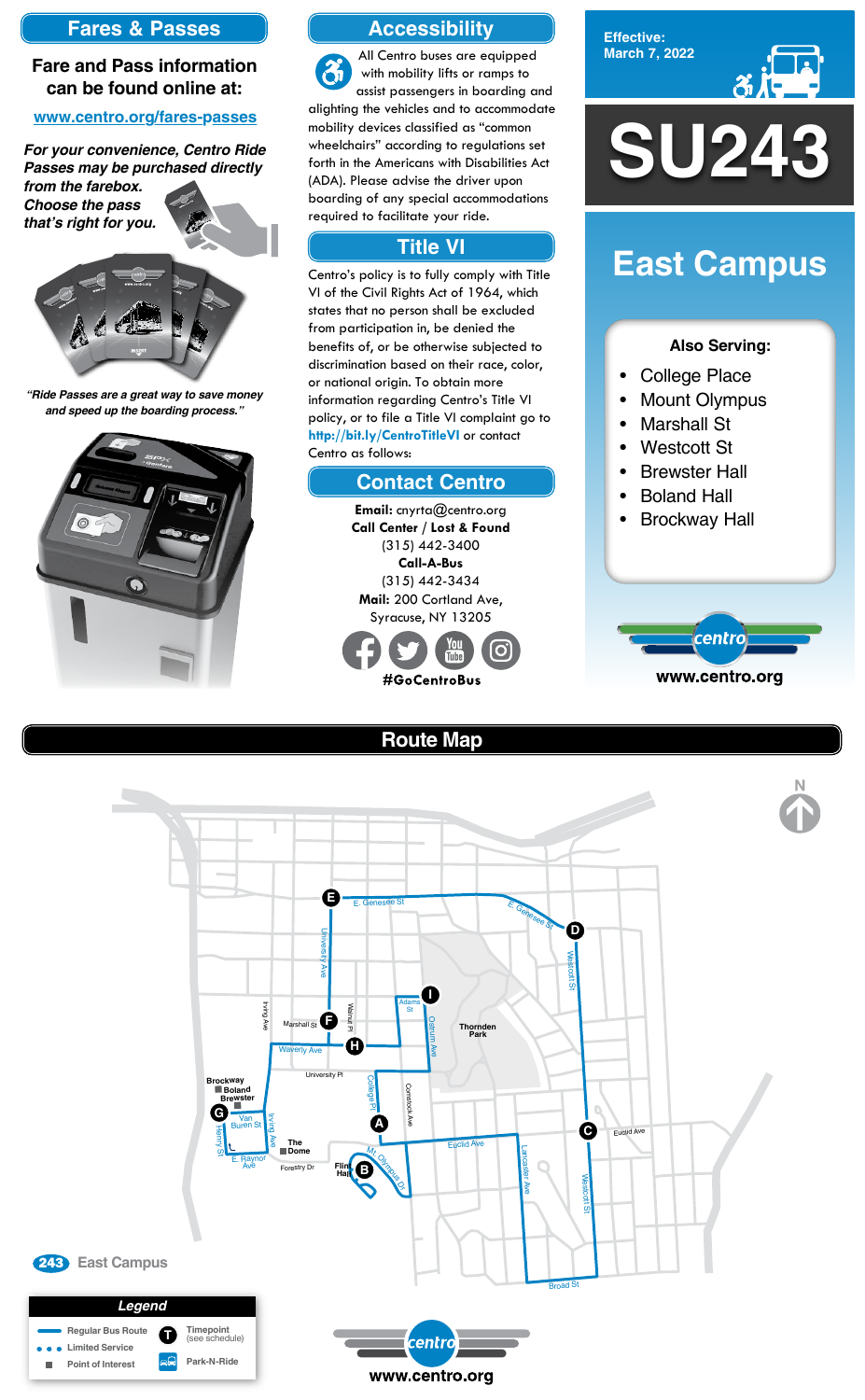**Effective: March 7, 2022**



#### **Also Serving:**

- College Place
- Mount Olympus
- Marshall St
- Westcott St
- **Brewster Hall**
- **Boland Hall**
- Brockway Hall



# **East Campus**

# **Route Map**



## **Accessibility**

## **Contact Centro**

### **Title VI**

All Centro buses are equipped  $\mathfrak{F}$ with mobility lifts or ramps to assist passengers in boarding and alighting the vehicles and to accommodate mobility devices classified as "common wheelchairs" according to regulations set forth in the Americans with Disabilities Act (ADA). Please advise the driver upon boarding of any special accommodations required to facilitate your ride.

Centro's policy is to fully comply with Title VI of the Civil Rights Act of 1964, which states that no person shall be excluded from participation in, be denied the benefits of, or be otherwise subjected to discrimination based on their race, color, or national origin. To obtain more information regarding Centro's Title VI policy, or to file a Title VI complaint go to **http://bit.ly/CentroTitleVI** or contact Centro as follows:

> **Email:** cnyrta@centro.org **Call Center / Lost & Found** (315) 442-3400 **Call-A-Bus** (315) 442-3434 **Mail:** 200 Cortland Ave, Syracuse, NY 13205



### **Fares & Passes**

#### **Fare and Pass information can be found online at:**

#### **www.centro.org/fares-passes**

*"Ride Passes are a great way to save money and speed up the boarding process."*



*For your convenience, Centro Ride Passes may be purchased directly* 

*from the farebox. Choose the pass that's right for you.*